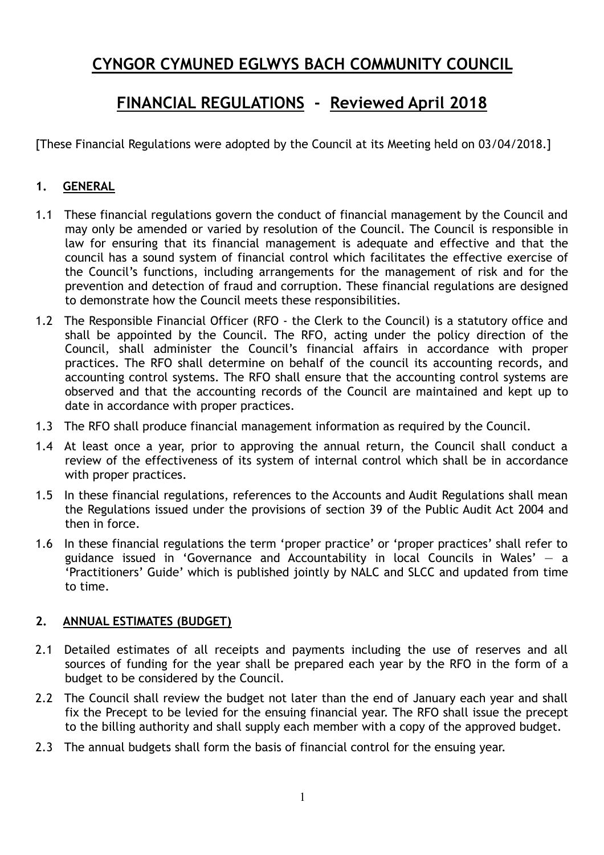# **CYNGOR CYMUNED EGLWYS BACH COMMUNITY COUNCIL**

# **FINANCIAL REGULATIONS - Reviewed April 2018**

[These Financial Regulations were adopted by the Council at its Meeting held on 03/04/2018.]

## **1. GENERAL**

- 1.1 These financial regulations govern the conduct of financial management by the Council and may only be amended or varied by resolution of the Council. The Council is responsible in law for ensuring that its financial management is adequate and effective and that the council has a sound system of financial control which facilitates the effective exercise of the Council's functions, including arrangements for the management of risk and for the prevention and detection of fraud and corruption. These financial regulations are designed to demonstrate how the Council meets these responsibilities.
- 1.2 The Responsible Financial Officer (RFO the Clerk to the Council) is a statutory office and shall be appointed by the Council. The RFO, acting under the policy direction of the Council, shall administer the Council's financial affairs in accordance with proper practices. The RFO shall determine on behalf of the council its accounting records, and accounting control systems. The RFO shall ensure that the accounting control systems are observed and that the accounting records of the Council are maintained and kept up to date in accordance with proper practices.
- 1.3 The RFO shall produce financial management information as required by the Council.
- 1.4 At least once a year, prior to approving the annual return, the Council shall conduct a review of the effectiveness of its system of internal control which shall be in accordance with proper practices.
- 1.5 In these financial regulations, references to the Accounts and Audit Regulations shall mean the Regulations issued under the provisions of section 39 of the Public Audit Act 2004 and then in force.
- 1.6 In these financial regulations the term 'proper practice' or 'proper practices' shall refer to guidance issued in 'Governance and Accountability in local Councils in Wales'  $-$  a 'Practitioners' Guide' which is published jointly by NALC and SLCC and updated from time to time.

#### **2. ANNUAL ESTIMATES (BUDGET)**

- 2.1 Detailed estimates of all receipts and payments including the use of reserves and all sources of funding for the year shall be prepared each year by the RFO in the form of a budget to be considered by the Council.
- 2.2 The Council shall review the budget not later than the end of January each year and shall fix the Precept to be levied for the ensuing financial year. The RFO shall issue the precept to the billing authority and shall supply each member with a copy of the approved budget.
- 2.3 The annual budgets shall form the basis of financial control for the ensuing year.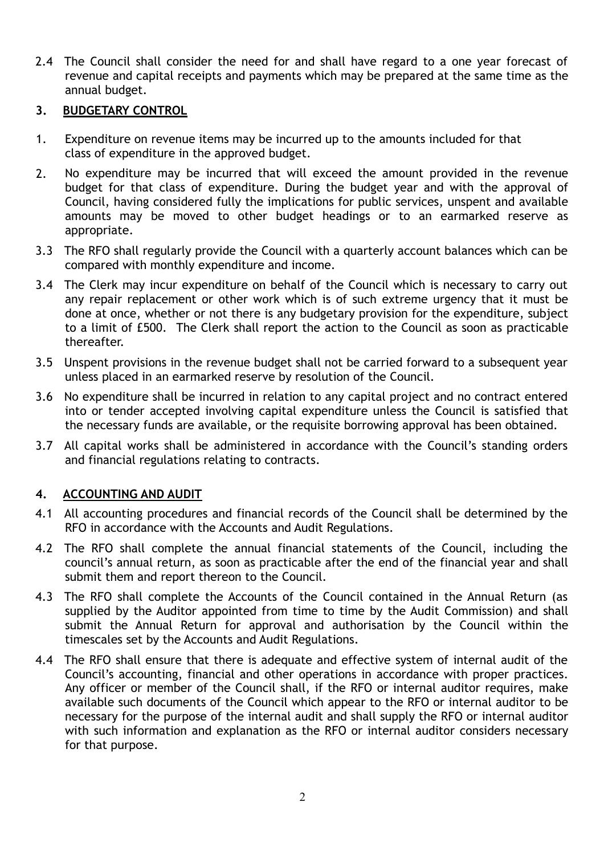2.4 The Council shall consider the need for and shall have regard to a one year forecast of revenue and capital receipts and payments which may be prepared at the same time as the annual budget.

## **3. BUDGETARY CONTROL**

- 1. Expenditure on revenue items may be incurred up to the amounts included for that class of expenditure in the approved budget.
- 2. No expenditure may be incurred that will exceed the amount provided in the revenue budget for that class of expenditure. During the budget year and with the approval of Council, having considered fully the implications for public services, unspent and available amounts may be moved to other budget headings or to an earmarked reserve as appropriate.
- 3.3 The RFO shall regularly provide the Council with a quarterly account balances which can be compared with monthly expenditure and income.
- 3.4 The Clerk may incur expenditure on behalf of the Council which is necessary to carry out any repair replacement or other work which is of such extreme urgency that it must be done at once, whether or not there is any budgetary provision for the expenditure, subject to a limit of £500. The Clerk shall report the action to the Council as soon as practicable thereafter.
- 3.5 Unspent provisions in the revenue budget shall not be carried forward to a subsequent year unless placed in an earmarked reserve by resolution of the Council.
- 3.6 No expenditure shall be incurred in relation to any capital project and no contract entered into or tender accepted involving capital expenditure unless the Council is satisfied that the necessary funds are available, or the requisite borrowing approval has been obtained.
- 3.7 All capital works shall be administered in accordance with the Council's standing orders and financial regulations relating to contracts.

## **4. ACCOUNTING AND AUDIT**

- 4.1 All accounting procedures and financial records of the Council shall be determined by the RFO in accordance with the Accounts and Audit Regulations.
- 4.2 The RFO shall complete the annual financial statements of the Council, including the council's annual return, as soon as practicable after the end of the financial year and shall submit them and report thereon to the Council.
- 4.3 The RFO shall complete the Accounts of the Council contained in the Annual Return (as supplied by the Auditor appointed from time to time by the Audit Commission) and shall submit the Annual Return for approval and authorisation by the Council within the timescales set by the Accounts and Audit Regulations.
- 4.4 The RFO shall ensure that there is adequate and effective system of internal audit of the Council's accounting, financial and other operations in accordance with proper practices. Any officer or member of the Council shall, if the RFO or internal auditor requires, make available such documents of the Council which appear to the RFO or internal auditor to be necessary for the purpose of the internal audit and shall supply the RFO or internal auditor with such information and explanation as the RFO or internal auditor considers necessary for that purpose.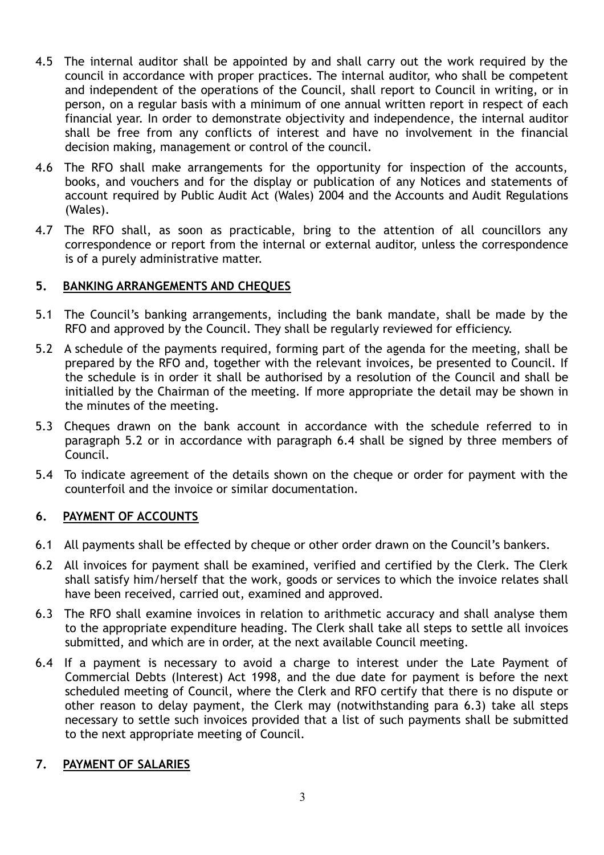- 4.5 The internal auditor shall be appointed by and shall carry out the work required by the council in accordance with proper practices. The internal auditor, who shall be competent and independent of the operations of the Council, shall report to Council in writing, or in person, on a regular basis with a minimum of one annual written report in respect of each financial year. In order to demonstrate objectivity and independence, the internal auditor shall be free from any conflicts of interest and have no involvement in the financial decision making, management or control of the council.
- 4.6 The RFO shall make arrangements for the opportunity for inspection of the accounts, books, and vouchers and for the display or publication of any Notices and statements of account required by Public Audit Act (Wales) 2004 and the Accounts and Audit Regulations (Wales).
- 4.7 The RFO shall, as soon as practicable, bring to the attention of all councillors any correspondence or report from the internal or external auditor, unless the correspondence is of a purely administrative matter.

## **5. BANKING ARRANGEMENTS AND CHEQUES**

- 5.1 The Council's banking arrangements, including the bank mandate, shall be made by the RFO and approved by the Council. They shall be regularly reviewed for efficiency.
- 5.2 A schedule of the payments required, forming part of the agenda for the meeting, shall be prepared by the RFO and, together with the relevant invoices, be presented to Council. If the schedule is in order it shall be authorised by a resolution of the Council and shall be initialled by the Chairman of the meeting. If more appropriate the detail may be shown in the minutes of the meeting.
- 5.3 Cheques drawn on the bank account in accordance with the schedule referred to in paragraph 5.2 or in accordance with paragraph 6.4 shall be signed by three members of Council.
- 5.4 To indicate agreement of the details shown on the cheque or order for payment with the counterfoil and the invoice or similar documentation.

## **6. PAYMENT OF ACCOUNTS**

- 6.1 All payments shall be effected by cheque or other order drawn on the Council's bankers.
- 6.2 All invoices for payment shall be examined, verified and certified by the Clerk. The Clerk shall satisfy him/herself that the work, goods or services to which the invoice relates shall have been received, carried out, examined and approved.
- 6.3 The RFO shall examine invoices in relation to arithmetic accuracy and shall analyse them to the appropriate expenditure heading. The Clerk shall take all steps to settle all invoices submitted, and which are in order, at the next available Council meeting.
- 6.4 If a payment is necessary to avoid a charge to interest under the Late Payment of Commercial Debts (Interest) Act 1998, and the due date for payment is before the next scheduled meeting of Council, where the Clerk and RFO certify that there is no dispute or other reason to delay payment, the Clerk may (notwithstanding para 6.3) take all steps necessary to settle such invoices provided that a list of such payments shall be submitted to the next appropriate meeting of Council.

#### **7. PAYMENT OF SALARIES**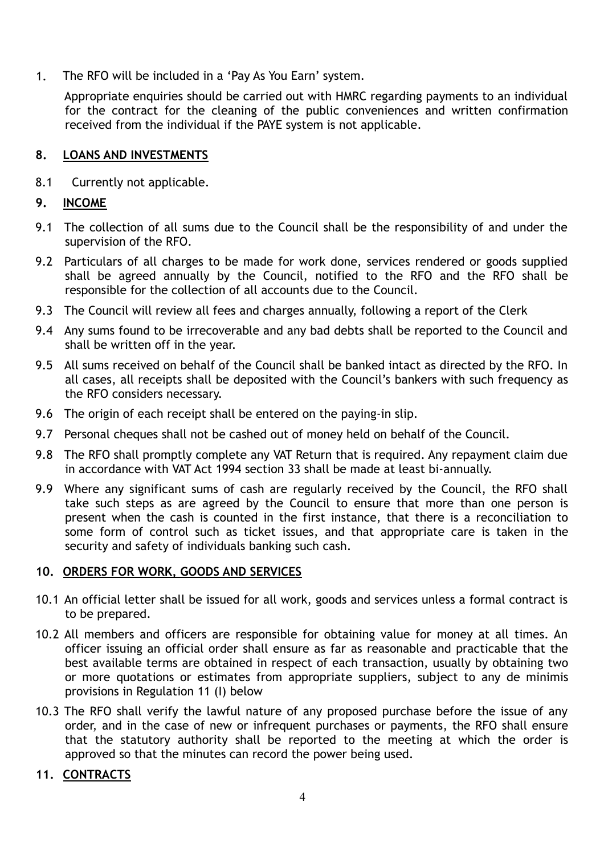1. The RFO will be included in a 'Pay As You Earn' system.

 Appropriate enquiries should be carried out with HMRC regarding payments to an individual for the contract for the cleaning of the public conveniences and written confirmation received from the individual if the PAYE system is not applicable.

## **8. LOANS AND INVESTMENTS**

8.1 Currently not applicable.

## **9. INCOME**

- 9.1 The collection of all sums due to the Council shall be the responsibility of and under the supervision of the RFO.
- 9.2 Particulars of all charges to be made for work done, services rendered or goods supplied shall be agreed annually by the Council, notified to the RFO and the RFO shall be responsible for the collection of all accounts due to the Council.
- 9.3 The Council will review all fees and charges annually, following a report of the Clerk
- 9.4 Any sums found to be irrecoverable and any bad debts shall be reported to the Council and shall be written off in the year.
- 9.5 All sums received on behalf of the Council shall be banked intact as directed by the RFO. In all cases, all receipts shall be deposited with the Council's bankers with such frequency as the RFO considers necessary.
- 9.6 The origin of each receipt shall be entered on the paying-in slip.
- 9.7 Personal cheques shall not be cashed out of money held on behalf of the Council.
- 9.8 The RFO shall promptly complete any VAT Return that is required. Any repayment claim due in accordance with VAT Act 1994 section 33 shall be made at least bi-annually.
- 9.9 Where any significant sums of cash are regularly received by the Council, the RFO shall take such steps as are agreed by the Council to ensure that more than one person is present when the cash is counted in the first instance, that there is a reconciliation to some form of control such as ticket issues, and that appropriate care is taken in the security and safety of individuals banking such cash.

## **10. ORDERS FOR WORK, GOODS AND SERVICES**

- 10.1 An official letter shall be issued for all work, goods and services unless a formal contract is to be prepared.
- 10.2 All members and officers are responsible for obtaining value for money at all times. An officer issuing an official order shall ensure as far as reasonable and practicable that the best available terms are obtained in respect of each transaction, usually by obtaining two or more quotations or estimates from appropriate suppliers, subject to any de minimis provisions in Regulation 11 (I) below
- 10.3 The RFO shall verify the lawful nature of any proposed purchase before the issue of any order, and in the case of new or infrequent purchases or payments, the RFO shall ensure that the statutory authority shall be reported to the meeting at which the order is approved so that the minutes can record the power being used.

## **11. CONTRACTS**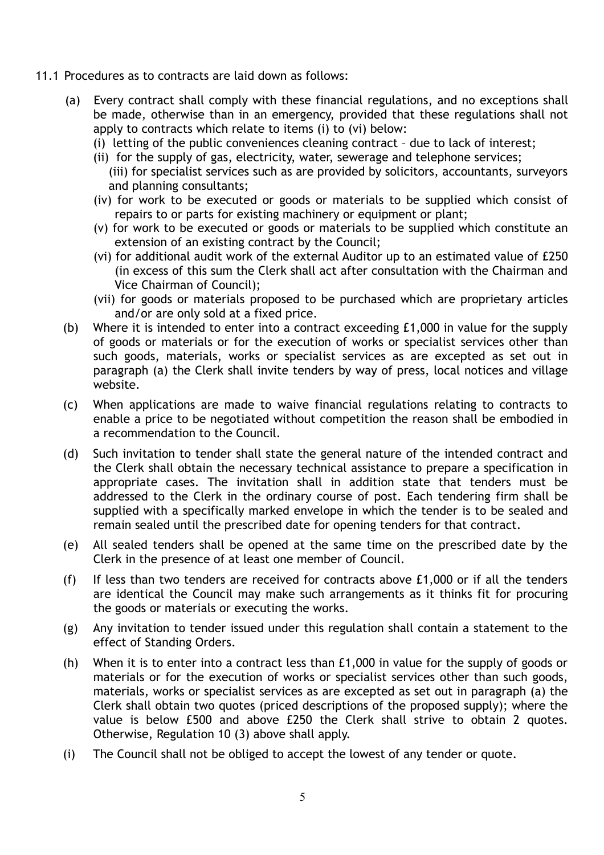- 11.1 Procedures as to contracts are laid down as follows:
	- (a) Every contract shall comply with these financial regulations, and no exceptions shall be made, otherwise than in an emergency, provided that these regulations shall not apply to contracts which relate to items (i) to (vi) below:
		- (i) letting of the public conveniences cleaning contract due to lack of interest;
		- (ii) for the supply of gas, electricity, water, sewerage and telephone services; (iii) for specialist services such as are provided by solicitors, accountants, surveyors and planning consultants;
		- (iv) for work to be executed or goods or materials to be supplied which consist of repairs to or parts for existing machinery or equipment or plant;
		- (v) for work to be executed or goods or materials to be supplied which constitute an extension of an existing contract by the Council;
		- (vi) for additional audit work of the external Auditor up to an estimated value of £250 (in excess of this sum the Clerk shall act after consultation with the Chairman and Vice Chairman of Council);
		- (vii) for goods or materials proposed to be purchased which are proprietary articles and/or are only sold at a fixed price.
	- (b) Where it is intended to enter into a contract exceeding £1,000 in value for the supply of goods or materials or for the execution of works or specialist services other than such goods, materials, works or specialist services as are excepted as set out in paragraph (a) the Clerk shall invite tenders by way of press, local notices and village website.
	- (c) When applications are made to waive financial regulations relating to contracts to enable a price to be negotiated without competition the reason shall be embodied in a recommendation to the Council.
	- (d) Such invitation to tender shall state the general nature of the intended contract and the Clerk shall obtain the necessary technical assistance to prepare a specification in appropriate cases. The invitation shall in addition state that tenders must be addressed to the Clerk in the ordinary course of post. Each tendering firm shall be supplied with a specifically marked envelope in which the tender is to be sealed and remain sealed until the prescribed date for opening tenders for that contract.
	- (e) All sealed tenders shall be opened at the same time on the prescribed date by the Clerk in the presence of at least one member of Council.
	- (f) If less than two tenders are received for contracts above £1,000 or if all the tenders are identical the Council may make such arrangements as it thinks fit for procuring the goods or materials or executing the works.
	- (g) Any invitation to tender issued under this regulation shall contain a statement to the effect of Standing Orders.
	- (h) When it is to enter into a contract less than £1,000 in value for the supply of goods or materials or for the execution of works or specialist services other than such goods, materials, works or specialist services as are excepted as set out in paragraph (a) the Clerk shall obtain two quotes (priced descriptions of the proposed supply); where the value is below £500 and above £250 the Clerk shall strive to obtain 2 quotes. Otherwise, Regulation 10 (3) above shall apply.
	- (i) The Council shall not be obliged to accept the lowest of any tender or quote.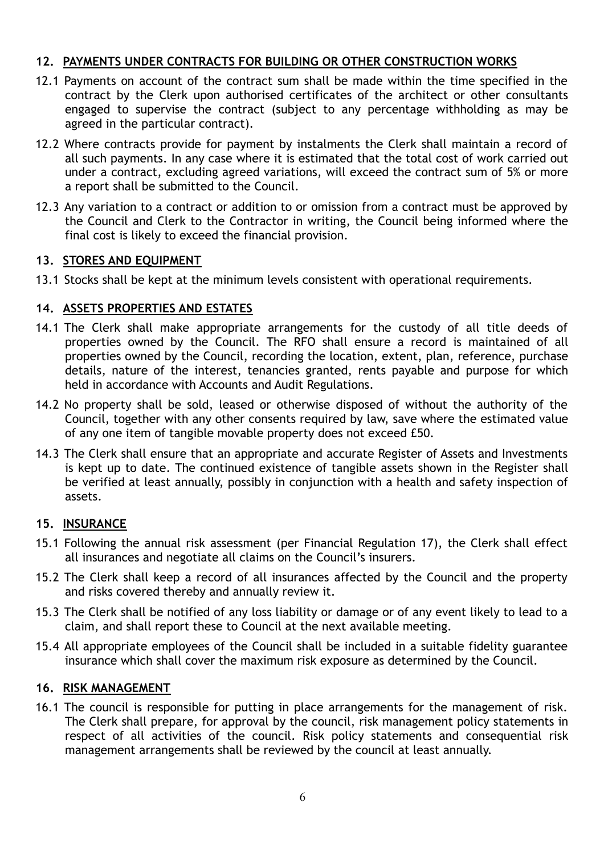## **12. PAYMENTS UNDER CONTRACTS FOR BUILDING OR OTHER CONSTRUCTION WORKS**

- 12.1 Payments on account of the contract sum shall be made within the time specified in the contract by the Clerk upon authorised certificates of the architect or other consultants engaged to supervise the contract (subject to any percentage withholding as may be agreed in the particular contract).
- 12.2 Where contracts provide for payment by instalments the Clerk shall maintain a record of all such payments. In any case where it is estimated that the total cost of work carried out under a contract, excluding agreed variations, will exceed the contract sum of 5% or more a report shall be submitted to the Council.
- 12.3 Any variation to a contract or addition to or omission from a contract must be approved by the Council and Clerk to the Contractor in writing, the Council being informed where the final cost is likely to exceed the financial provision.

#### **13. STORES AND EQUIPMENT**

13.1 Stocks shall be kept at the minimum levels consistent with operational requirements.

#### **14. ASSETS PROPERTIES AND ESTATES**

- 14.1 The Clerk shall make appropriate arrangements for the custody of all title deeds of properties owned by the Council. The RFO shall ensure a record is maintained of all properties owned by the Council, recording the location, extent, plan, reference, purchase details, nature of the interest, tenancies granted, rents payable and purpose for which held in accordance with Accounts and Audit Regulations.
- 14.2 No property shall be sold, leased or otherwise disposed of without the authority of the Council, together with any other consents required by law, save where the estimated value of any one item of tangible movable property does not exceed £50.
- 14.3 The Clerk shall ensure that an appropriate and accurate Register of Assets and Investments is kept up to date. The continued existence of tangible assets shown in the Register shall be verified at least annually, possibly in conjunction with a health and safety inspection of assets.

## **15. INSURANCE**

- 15.1 Following the annual risk assessment (per Financial Regulation 17), the Clerk shall effect all insurances and negotiate all claims on the Council's insurers.
- 15.2 The Clerk shall keep a record of all insurances affected by the Council and the property and risks covered thereby and annually review it.
- 15.3 The Clerk shall be notified of any loss liability or damage or of any event likely to lead to a claim, and shall report these to Council at the next available meeting.
- 15.4 All appropriate employees of the Council shall be included in a suitable fidelity guarantee insurance which shall cover the maximum risk exposure as determined by the Council.

#### **16. RISK MANAGEMENT**

16.1 The council is responsible for putting in place arrangements for the management of risk. The Clerk shall prepare, for approval by the council, risk management policy statements in respect of all activities of the council. Risk policy statements and consequential risk management arrangements shall be reviewed by the council at least annually.